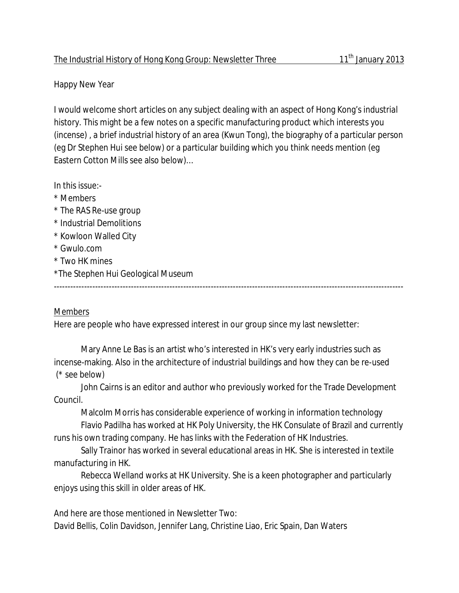## The Industrial History of Hong Kong Group: Newsletter Three 11<sup>th</sup> January 2013

## Happy New Year

I would welcome short articles on any subject dealing with an aspect of Hong Kong's industrial history. This might be a few notes on a specific manufacturing product which interests you (incense) , a brief industrial history of an area (Kwun Tong), the biography of a particular person (eg Dr Stephen Hui see below) or a particular building which you think needs mention (eg Eastern Cotton Mills see also below)…

In this issue:-

- \* Members
- \* The RAS Re-use group
- \* Industrial Demolitions
- \* Kowloon Walled City
- \* Gwulo.com
- \* Two HK mines
- \*The Stephen Hui Geological Museum

-------------------------------------------------------------------------------------------------------------------------------

## Members

Here are people who have expressed interest in our group since my last newsletter:

Mary Anne Le Bas is an artist who's interested in HK's very early industries such as incense-making. Also in the architecture of industrial buildings and how they can be re-used (\* see below)

John Cairns is an editor and author who previously worked for the Trade Development Council.

Malcolm Morris has considerable experience of working in information technology

Flavio Padilha has worked at HK Poly University, the HK Consulate of Brazil and currently runs his own trading company. He has links with the Federation of HK Industries.

Sally Trainor has worked in several educational areas in HK. She is interested in textile manufacturing in HK.

Rebecca Welland works at HK University. She is a keen photographer and particularly enjoys using this skill in older areas of HK.

And here are those mentioned in Newsletter Two: David Bellis, Colin Davidson, Jennifer Lang, Christine Liao, Eric Spain, Dan Waters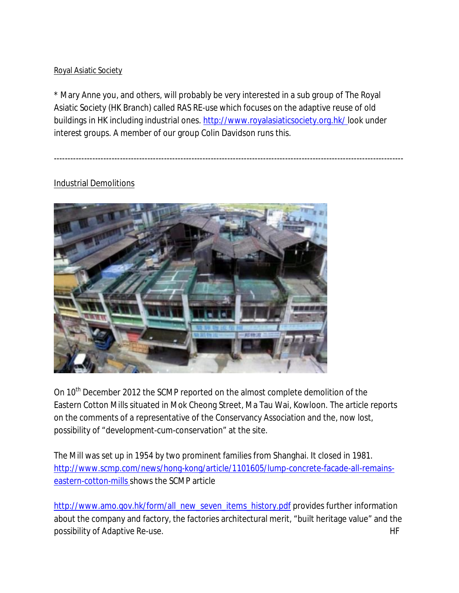## Royal Asiatic Society

\* Mary Anne you, and others, will probably be very interested in a sub group of The Royal Asiatic Society (HK Branch) called *RAS RE-use* which focuses on the adaptive reuse of old buildings in HK including industrial ones. http://www.royalasiaticsociety.org.hk/ look under *interest groups.* A member of our group Colin Davidson runs this.

*-------------------------------------------------------------------------------------------------------------------------------*

# Industrial Demolitions



On 10<sup>th</sup> December 2012 the SCMP reported on the almost complete demolition of the Eastern Cotton Mills situated in Mok Cheong Street, Ma Tau Wai, Kowloon. The article reports on the comments of a representative of the Conservancy Association and the, now lost, possibility of "development-cum-conservation" at the site.

The Mill was set up in 1954 by two prominent families from Shanghai. It closed in 1981. http://www.scmp.com/news/hong-kong/article/1101605/lump-concrete-facade-all-remainseastern-cotton-mills shows the SCMP article

http://www.amo.gov.hk/form/all\_new\_seven\_items\_history.pdf provides further information about the company and factory, the factories architectural merit, "built heritage value" and the possibility of Adaptive Re-use. He has a state of the state of the state of the state of the state of the state of the state of the state of the state of the state of the state of the state of the state of the state of the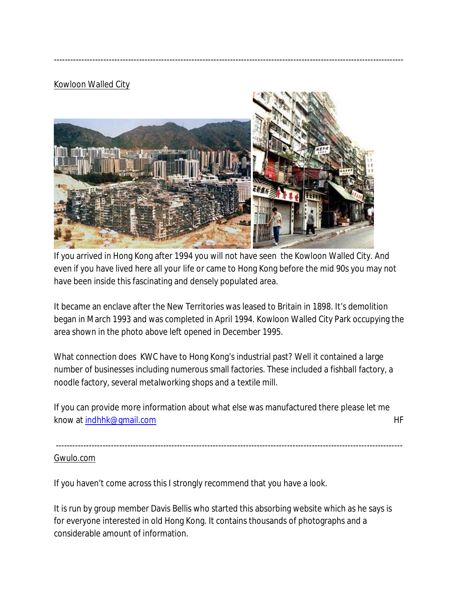## Kowloon Walled City



-------------------------------------------------------------------------------------------------------------------------------

If you arrived in Hong Kong after 1994 you will not have seen the Kowloon Walled City. And even if you have lived here all your life or came to Hong Kong before the mid 90s you may not have been inside this fascinating and densely populated area.

It became an enclave after the New Territories was leased to Britain in 1898. It's demolition began in March 1993 and was completed in April 1994. Kowloon Walled City Park occupying the area shown in the photo above left opened in December 1995.

What connection does KWC have to Hong Kong's industrial past? Well it contained a large number of businesses including numerous small factories. These included a fishball factory, a noodle factory, several metalworking shops and a textile mill.

If you can provide more information about what else was manufactured there please let me know at indhhk@gmail.com example and the set of the set of the set of the set of the set of the set of the set of the set of the set of the set of the set of the set of the set of the set of the set of the set of the set o

------------------------------------------------------------------------------------------------------------------------------ Gwulo.com

If you haven't come across this I strongly recommend that you have a look.

It is run by group member Davis Bellis who started this absorbing website which as he says is for everyone interested in old Hong Kong. It contains thousands of photographs and a considerable amount of information.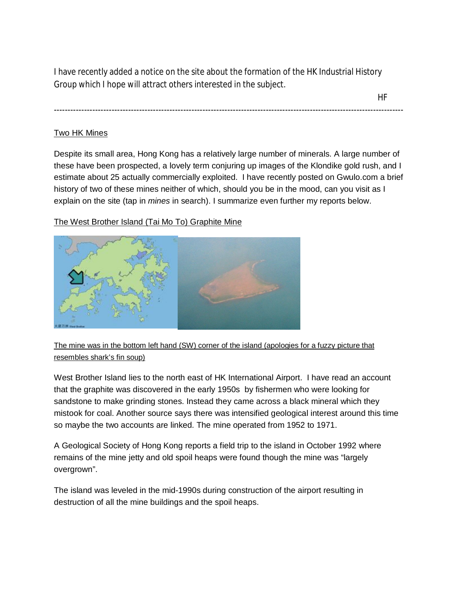I have recently added a notice on the site about the formation of the HK Industrial History Group which I hope will attract others interested in the subject.

-------------------------------------------------------------------------------------------------------------------------------

HF

#### Two HK Mines

Despite its small area, Hong Kong has a relatively large number of minerals. A large number of these have been prospected, a lovely term conjuring up images of the Klondike gold rush, and I estimate about 25 actually commercially exploited. I have recently posted on Gwulo.com a brief history of two of these mines neither of which, should you be in the mood, can you visit as I explain on the site (tap in *mines* in search). I summarize even further my reports below.

The West Brother Island (Tai Mo To) Graphite Mine



The mine was in the bottom left hand (SW) corner of the island (apologies for a fuzzy picture that resembles shark's fin soup)

West Brother Island lies to the north east of HK International Airport. I have read an account that the graphite was discovered in the early 1950s by fishermen who were looking for sandstone to make grinding stones. Instead they came across a black mineral which they mistook for coal. Another source says there was intensified geological interest around this time so maybe the two accounts are linked. The mine operated from 1952 to 1971.

A Geological Society of Hong Kong reports a field trip to the island in October 1992 where remains of the mine jetty and old spoil heaps were found though the mine was "largely overgrown".

The island was leveled in the mid-1990s during construction of the airport resulting in destruction of all the mine buildings and the spoil heaps.